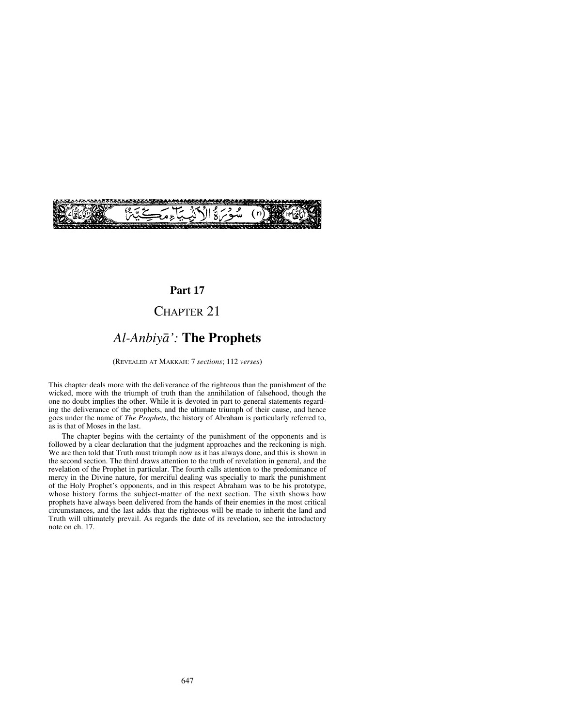

## **Part 17**

# CHAPTER 21

# *Al-Anbiyå':* **The Prophets**

(REVEALED AT MAKKAH: 7 *sections*; 112 *verses*)

This chapter deals more with the deliverance of the righteous than the punishment of the wicked, more with the triumph of truth than the annihilation of falsehood, though the one no doubt implies the other. While it is devoted in part to general statements regarding the deliverance of the prophets, and the ultimate triumph of their cause, and hence goes under the name of *The Prophets*, the history of Abraham is particularly referred to, as is that of Moses in the last.

The chapter begins with the certainty of the punishment of the opponents and is followed by a clear declaration that the judgment approaches and the reckoning is nigh. We are then told that Truth must triumph now as it has always done, and this is shown in the second section. The third draws attention to the truth of revelation in general, and the revelation of the Prophet in particular. The fourth calls attention to the predominance of mercy in the Divine nature, for merciful dealing was specially to mark the punishment of the Holy Prophet's opponents, and in this respect Abraham was to be his prototype, whose history forms the subject-matter of the next section. The sixth shows how prophets have always been delivered from the hands of their enemies in the most critical circumstances, and the last adds that the righteous will be made to inherit the land and Truth will ultimately prevail. As regards the date of its revelation, see the introductory note on ch. 17.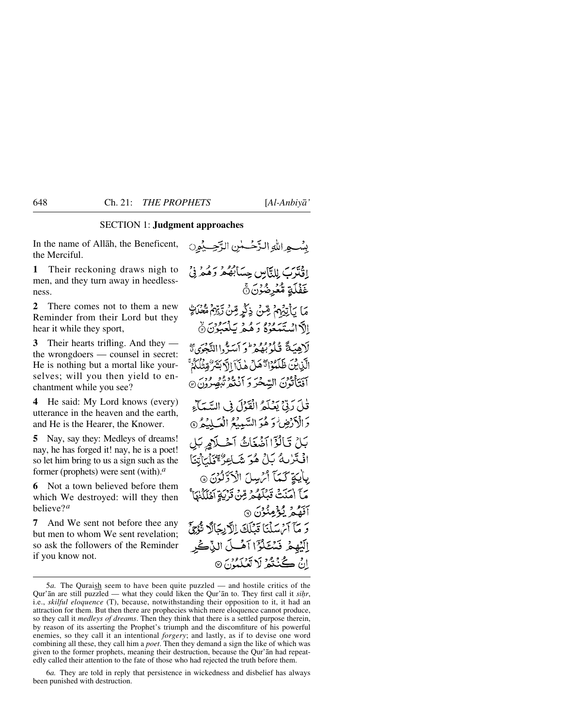#### SECTION 1: **Judgment approaches**

In the name of Allåh, the Beneficent, the Merciful.

**1** Their reckoning draws nigh to men, and they turn away in heedlessness.

**2** There comes not to them a new Reminder from their Lord but they hear it while they sport,

**3** Their hearts trifling. And they the wrongdoers — counsel in secret: He is nothing but a mortal like yourselves; will you then yield to enchantment while you see?

**4** He said: My Lord knows (every) utterance in the heaven and the earth, and He is the Hearer, the Knower.

**5** Nay, say they: Medleys of dreams! nay, he has forged it! nay, he is a poet! so let him bring to us a sign such as the former (prophets) were sent (with).*<sup>a</sup>*

**6** Not a town believed before them which We destroyed: will they then believe?*<sup>a</sup>*

**7** And We sent not before thee any but men to whom We sent revelation; so ask the followers of the Reminder if you know not.

بِسْبِهِ اللَّهِ الزَّحْسَنِينِ الزَّحِسِيْمِينِ إِفْتَرَبَ لِلنَّاسِ حِسَابُهُمْ وَهُمْ فِيْ غَفْلَةٍ مُّعْرِضُوْنَ۞ مَا يَأْتِيْهِمْ شِنْ ذِكْرٍ مِّنْ رَّيِّهِمْ مُّعْلَاتِهِ الآداريجي ودوح وكديد كعبون (كَا لَاهِيَةً قُلُوْبُعُهُ ۚ وَالسَّرُّواالِّيْجُوَى تَبَ الَّذِيثَ ظَلَّمُوْٓاَدُّهُلُّ هٰذَآ الَّابَشَرُّ مِّتْنَا كُمُّ آفَتَأْتُوْنَ السَّحْرَ وَ آَنْتُهُمْ تُبْصِرُونَ۞ قُلِّ رَبِّيٌّ يَعْلَمُ الْقَوْلَ فِي السَّمَاءِ دَالْأَرْضِ وَهُوَ السَّيِبِيْحُ الْعَبِيْدُ @ بَلْ قَالَوْٓاأَضُغَاثُ آَحْبِلَاهِ بَل افْتَرْبِهُ بَلْ هُوَ شَاعِرٌ مِّنَاتِهِمْ الْمَاتِينَا بِأَيْبَةٍ كَيْمَا أَمْرِسِلَ الْأَذَلِّوْنَ @ مَآ اٰ مَنۡتُ قَبۡلَهُمۡ مِّنۡ قَرۡبَةِ آَهُلَٰٓلُنَا ۚ آفقيھ ڳ<sup>و</sup>هنون ۞ وَ مَآ آَمُ سَلَّنَا قَبْلَكَ اِلَّا بِحَالَا تَّذِيْ إِلَيْهِمْ فَسُتَكْرًّا آهُكَ الذَّكْ إِنْ كُنْتُمُ لَا تَعْلَمُوْنَ ۞

6*a.* They are told in reply that persistence in wickedness and disbelief has always been punished with destruction.

<sup>5</sup>*a.* The Quraish seem to have been quite puzzled — and hostile critics of the Qur'an are still puzzled — what they could liken the Qur'an to. They first call it *sihr*, i.e., *skilful eloquence* (T), because, notwithstanding their opposition to it, it had an attraction for them. But then there are prophecies which mere eloquence cannot produce, so they call it *medleys of dreams*. Then they think that there is a settled purpose therein, by reason of its asserting the Prophet's triumph and the discomfiture of his powerful enemies, so they call it an intentional *forgery*; and lastly, as if to devise one word combining all these, they call him a *poet*. Then they demand a sign the like of which was given to the former prophets, meaning their destruction, because the Qur'ån had repeatedly called their attention to the fate of those who had rejected the truth before them.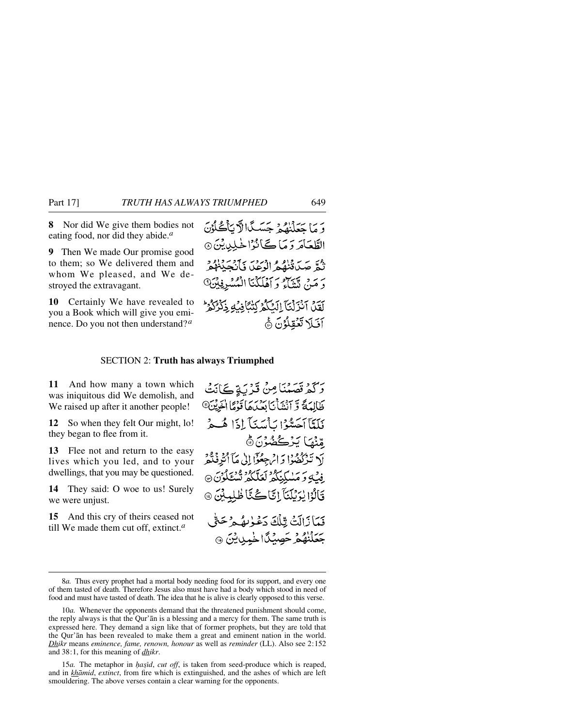**8** Nor did We give them bodies not eating food, nor did they abide.*<sup>a</sup>*

**9** Then We made Our promise good to them; so We delivered them and whom We pleased, and We destroyed the extravagant.

**10** Certainly We have revealed to you a Book which will give you eminence. Do you not then understand? *<sup>a</sup>*

وَ مَا حَعَلْنِقُوْمِ جَسَبِكَا لَا يَأْكُلُوْنَ الطَّعَامَ وَمَا كَانُوْا خَلِيدِيْنَ ۞ نْبُعْ صَيِّدَةُنْهُمُ الْوَعْدَ فَأَنْجَدْنَكُمْ وَ مَنْ تَنْتَأَوْ وَ آَهُلَكْنَا انْكُسْرِفِيْنَ۞ لَقِينَ آَنْزَلْنَآ الْكَلّْهُ كَتْتَآمِنُهِ ذَكَّرُكُمْ أفيلا تعقلون أه

#### SECTION 2: **Truth has always Triumphed**

**11** And how many a town which was iniquitous did We demolish, and We raised up after it another people!

**12** So when they felt Our might, lo! they began to flee from it.

**13** Flee not and return to the easy lives which you led, and to your dwellings, that you may be questioned.

**14** They said: O woe to us! Surely we were unjust.

**15** And this cry of theirs ceased not till We made them cut off, extinct.*<sup>a</sup>*

وَكَمْ قَصَّعْنَا مِنْ قَدْ بَةٍ كَانَتْ طَالِعَةً وَّ آنْشَأْيَا بَعْدَهَا قَوْمًا الْخَرِيْنَ® فَلَعَّآآَحَسُّوۡۤا سَأَسَيَآ إِذَا هُبِهِرۡ مّْنُهَ) يَزْكُفُوْنَ۞ لَا تَذَكَّفُهُوْا وَ اِمْ جِعُوْٓا إِلَىٰ مَآ أَتُوَ فَدُّهُ ۚ ِ فِيۡ لَٰٓءَ مَسٰلَٰٓئِكُمۡ لَعَلَّكُمۡ تُسۡنَٰٓئُوۡنَ ۞ قَالُوْا يُوَيْلَنَآ إِنَّا كُنَّا ظُلِيلَيْنَ ۞ فَمَأْزَالَتْ تِّلْكَ دَعْوٰىهُمْ حَتَّى جَعَلْنَهُمْ حَصِيْكًا خَمِينِيْنَ @

<sup>8</sup>*a.* Thus every prophet had a mortal body needing food for its support, and every one of them tasted of death. Therefore Jesus also must have had a body which stood in need of food and must have tasted of death. The idea that he is alive is clearly opposed to this verse.

<sup>10</sup>*a*. Whenever the opponents demand that the threatened punishment should come, the reply always is that the Qur'ån is a blessing and a mercy for them. The same truth is expressed here. They demand a sign like that of former prophets, but they are told that the Qur'ån has been revealed to make them a great and eminent nation in the world. *Dhikr* means *eminence, fame, renown, honour* as well as *reminder* (LL). Also see 2:152 and 38:1, for this meaning of *dhikr*.

<sup>15</sup>*a*. The metaphor in *hasid, cut off,* is taken from seed-produce which is reaped, and in *khåmid*, *extinct*, from fire which is extinguished, and the ashes of which are left smouldering. The above verses contain a clear warning for the opponents.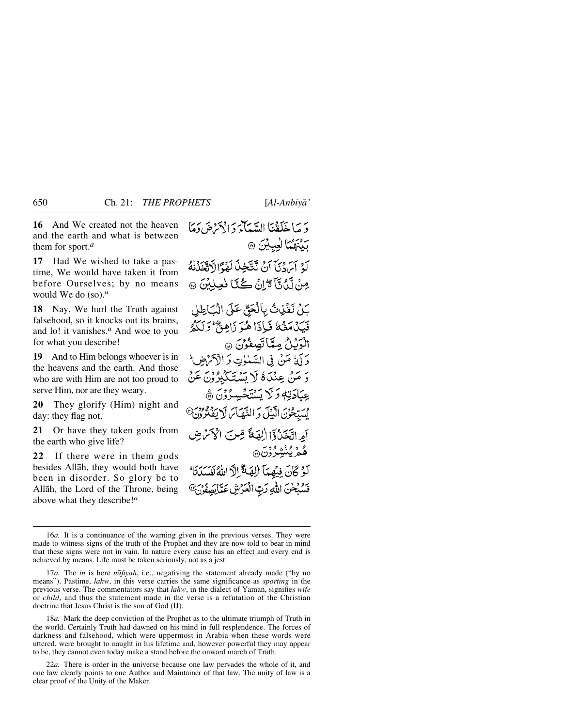**16** And We created not the heaven and the earth and what is between them for sport.*<sup>a</sup>*

**17** Had We wished to take a pastime, We would have taken it from before Ourselves; by no means would We do (so).*<sup>a</sup>*

**18** Nay, We hurl the Truth against falsehood, so it knocks out its brains, and lo! it vanishes.*<sup>a</sup>* And woe to you for what you describe!

**19** And to Him belongs whoever is in the heavens and the earth. And those who are with Him are not too proud to serve Him, nor are they weary.

**20** They glorify (Him) night and day: they flag not.

**21** Or have they taken gods from the earth who give life?

**22** If there were in them gods besides Allåh, they would both have been in disorder. So glory be to Allåh, the Lord of the Throne, being above what they describe!*<sup>a</sup>*

دَ مَا خَلَقْنَا السَّيِّآءَ دَالْ(َمْ صَ دَمَا بِيْنَهُمَّا لِعِيِيْنَ ۞ كَ ۚ آيَ دۡ يَٰٓآ آنۡ نَتَّخِذَ لَهُمَّ الْآتَغَذُنِهُ صِنْ لَيْنَ تَأْتَيْلِنْ كُنَّا نُعِيلِيْنَ ۞ يَلْ نَقْنِاتُ بِالْحَقِّ عَلَى الْمَكْطِلِ فَيَكَ مَثْنٌ فَبَاذَا هُوَ زَاهِنٌ وَلَكُّهُ الْرَيْلُ مِمَّاتَصِفُوْنَ @ وَ آَمَرُ مَنْ فِي اللَّهَيْبَاتِ وَ الْأَحْرَضِ ۖ وَ مَنْ عِنْدَاهُ لَا يَسْتَكَبِّرُونَ عَنْ عِبَادَتِهٖ وَلَا يَسْتَخْسِدُوْنَ ۞ مُسَبِّحُونَ الْبَيْلَ وَ النَّهَيَاسَ لَا يَفْتُرُونَ<sup>@</sup> آمِ اتَّخَذْرُوٓا الْهَةً قِسَ الْأَحْمَٰنِ ۿۄ۫ۑۢڹٛۺۣۯۯؘۜ۞ لَوْ كَانَ فِيهِمَا إِلِهَةٌ إِلَّ اللَّهُ لَفَسَدَتَاً فَسُبُحْنَ اللَّهِ رَبِّ الْعَرْشِ عَمَّا بِصَفُونَ®

18*a.* Mark the deep conviction of the Prophet as to the ultimate triumph of Truth in the world. Certainly Truth had dawned on his mind in full resplendence. The forces of darkness and falsehood, which were uppermost in Arabia when these words were uttered, were brought to naught in his lifetime and, however powerful they may appear to be, they cannot even today make a stand before the onward march of Truth.

22*a.* There is order in the universe because one law pervades the whole of it, and one law clearly points to one Author and Maintainer of that law. The unity of law is a clear proof of the Unity of the Maker.

<sup>16</sup>*a.* It is a continuance of the warning given in the previous verses. They were made to witness signs of the truth of the Prophet and they are now told to bear in mind that these signs were not in vain. In nature every cause has an effect and every end is achieved by means. Life must be taken seriously, not as a jest.

<sup>17</sup>*a.* The *in* is here *nåfiyah*, i.e., negativing the statement already made ("by no means"). Pastime, *lahw*, in this verse carries the same significance as *sporting* in the previous verse. The commentators say that *lahw*, in the dialect of Yaman, signifies *wife* or *child*, and thus the statement made in the verse is a refutation of the Christian doctrine that Jesus Christ is the son of God (IJ).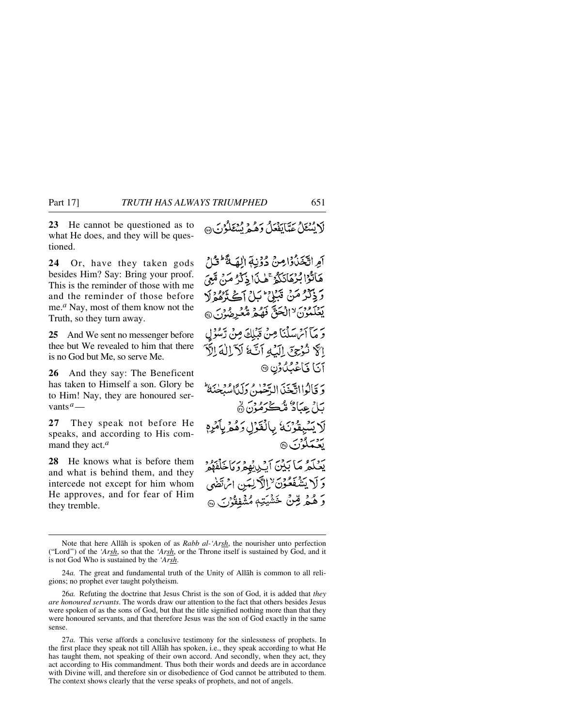**23** He cannot be questioned as to what He does, and they will be questioned.

**24** Or, have they taken gods besides Him? Say: Bring your proof. This is the reminder of those with me and the reminder of those before me.*<sup>a</sup>* Nay, most of them know not the Truth, so they turn away.

**25** And We sent no messenger before thee but We revealed to him that there is no God but Me, so serve Me.

**26** And they say: The Beneficent has taken to Himself a son. Glory be to Him! Nay, they are honoured servants*a*—

**27** They speak not before He speaks, and according to His command they act.*<sup>a</sup>*

**28** He knows what is before them and what is behind them, and they intercede not except for him whom He approves, and for fear of Him they tremble.

لَا يُسْتَعَلُّ عَدَّبَائِفَعَلُ وَهُدَ مُنْتَقَلُوْنِ بِهِ مَنْ

آمِ اتَّخَذُوا مِنْ دُوْنِةِ الْهَةَ لَوْلَ هَاتُوْا بُرْهَانَكُمُّ ۚ هٰذَا ذِكْرُ مَنْ مَّتِيَ رَ ذِكْرُ مَنْ قَبَيْنِي حَبَيْنِي آَيْخَ بِيُوْمٍ لَا يَعْلَمُونَ لاَالْحَقَّ فَهُمْ مُّعْرِضُوْنَ ۞ وَ مَآ أَمۡ سَلۡنَا مِنۡ قَبۡلِكَ مِنۡ تَبۡلُوۡلِ الَّهُ نُوْجِيَ إِلَيْهِ أَنَّهُ لَأَلَاكُ الْأَ آنا فاعْبُدُون ۞ وَ قَالُوااتَّجَنَّ الدَّحْمٰنُ وَلَدَّاسُبِحْنَهُ ۖ بَلْ عِبَادٌ مُّكْرَمُوْنَ نَ لَا يَسْبِقُوْنَ اللَّغَوْلِ وَهُمْ يِأْمُرِهِ <u>بَعْ</u>تَمَلُوْنَ @ يَعْلَمُ مَا بَيْنَ آيْدِيْهِمْرَمَاخَلْفَهْمُرْ وَلَا يَشْفَعُوْنَ لِالْآلِيمَنِ ائْتَضَى وَ هُمُر قِنْ خَشْيَتِهِ مُشْفِقُوْرَ بِ@

Note that here Allåh is spoken of as *Rabb al-'Arsh*, the nourisher unto perfection ("Lord") of the *'Arsh*, so that the *'Arsh*, or the Throne itself is sustained by God, and it is not God Who is sustained by the *'Arsh*.

<sup>24</sup>*a.* The great and fundamental truth of the Unity of Allåh is common to all religions; no prophet ever taught polytheism.

<sup>26</sup>*a.* Refuting the doctrine that Jesus Christ is the son of God, it is added that *they are honoured servants*. The words draw our attention to the fact that others besides Jesus were spoken of as the sons of God, but that the title signified nothing more than that they were honoured servants, and that therefore Jesus was the son of God exactly in the same sense.

<sup>27</sup>*a.* This verse affords a conclusive testimony for the sinlessness of prophets. In the first place they speak not till Allåh has spoken, i.e., they speak according to what He has taught them, not speaking of their own accord. And secondly, when they act, they act according to His commandment. Thus both their words and deeds are in accordance with Divine will, and therefore sin or disobedience of God cannot be attributed to them. The context shows clearly that the verse speaks of prophets, and not of angels.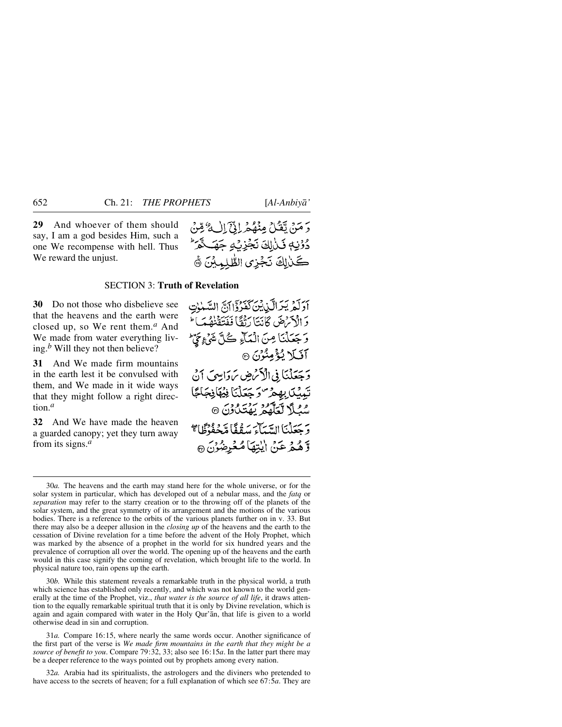**29** And whoever of them should say, I am a god besides Him, such a one We recompense with hell. Thus We reward the unjust.



#### SECTION 3: **Truth of Revelation**

**30** Do not those who disbelieve see that the heavens and the earth were closed up, so We rent them.*<sup>a</sup>* And We made from water everything living.*<sup>b</sup>* Will they not then believe?

**31** And We made firm mountains in the earth lest it be convulsed with them, and We made in it wide ways that they might follow a right direction.*<sup>a</sup>*

**32** And We have made the heaven a guarded canopy; yet they turn away from its signs.*<sup>a</sup>*

أَدَلَّهُ يَبْرَالَّذِينَ كَفَرُدَانَ السَّبْنِتِ وَ الْأَمْرَضَ كَانَتَا رَبَّقًا فَفَتَقَنَّفْتُ وَجَعَلْنَا مِنَ الْمَآءِ كُلَّ شَيْءٍ حَيَّ آفيلا يُؤْمِنُوْنَ ۞ وَجَعَلْنَا فِي الْأَمْرِضِ بِرَوَابِيهِ ۖ أَنْ تَبِيبُكَ بِهِمْ "دَ جَعَلْنَا فِيُهَافِجَاجًا مُعَلَّا لَعَلَّهُمْ يَهْتَدُّوْنَ @ وَبِحَعَلْهَا السِّياحِينِ مِنْ فَا مَدْمِدْهُمْ ذَلِي السَّيْرَ لَّاهُمْهُ عَنْ الْيُتِهَا مُعْرِضُونَ ۞

30*b.* While this statement reveals a remarkable truth in the physical world, a truth which science has established only recently, and which was not known to the world generally at the time of the Prophet, viz., *that water is the source of all life*, it draws attention to the equally remarkable spiritual truth that it is only by Divine revelation, which is again and again compared with water in the Holy Qur'ån, that life is given to a world otherwise dead in sin and corruption.

31*a.* Compare 16:15, where nearly the same words occur. Another significance of the first part of the verse is *We made firm mountains in the earth that they might be a source of benefit to you*. Compare 79:32, 33; also see 16:15*a*. In the latter part there may be a deeper reference to the ways pointed out by prophets among every nation.

32*a.* Arabia had its spiritualists, the astrologers and the diviners who pretended to have access to the secrets of heaven; for a full explanation of which see 67:5*a*. They are

<sup>30</sup>*a.* The heavens and the earth may stand here for the whole universe, or for the solar system in particular, which has developed out of a nebular mass, and the *fatq* or *separation* may refer to the starry creation or to the throwing off of the planets of the solar system, and the great symmetry of its arrangement and the motions of the various bodies. There is a reference to the orbits of the various planets further on in v. 33. But there may also be a deeper allusion in the *closing up* of the heavens and the earth to the cessation of Divine revelation for a time before the advent of the Holy Prophet, which was marked by the absence of a prophet in the world for six hundred years and the prevalence of corruption all over the world. The opening up of the heavens and the earth would in this case signify the coming of revelation, which brought life to the world. In physical nature too, rain opens up the earth.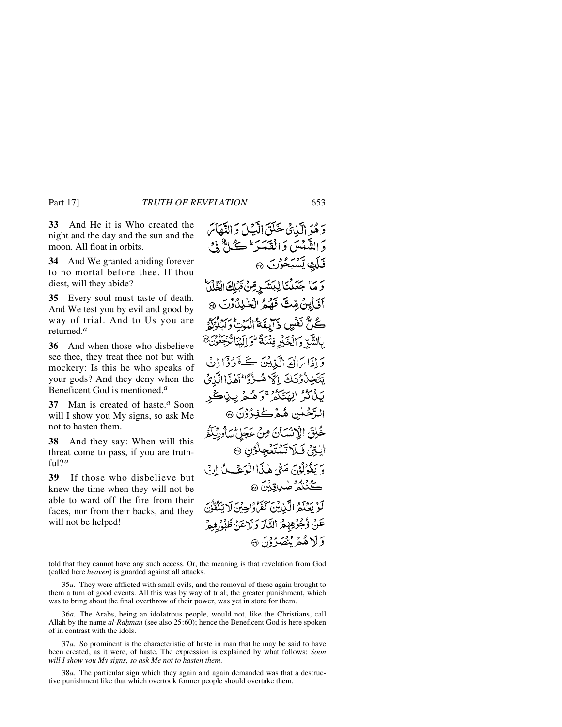**33** And He it is Who created the night and the day and the sun and the moon. All float in orbits.

**34** And We granted abiding forever to no mortal before thee. If thou diest, will they abide?

**35** Every soul must taste of death. And We test you by evil and good by way of trial. And to Us you are returned.*<sup>a</sup>*

**36** And when those who disbelieve see thee, they treat thee not but with mockery: Is this he who speaks of your gods? And they deny when the Beneficent God is mentioned.*<sup>a</sup>*

**37** Man is created of haste.*<sup>a</sup>* Soon will I show you My signs, so ask Me not to hasten them.

**38** And they say: When will this threat come to pass, if you are truthful?*<sup>a</sup>*

**39** If those who disbelieve but knew the time when they will not be able to ward off the fire from their faces, nor from their backs, and they will not be helped!

دَ هُوَ الَّيْائِي حَلَقَ الْآَيَا وَ النَّعَاسَ دَ الشَّهْيِينِ دَالْقَعَيْدَ ۖ ڪُلُّ ذِي قَلَكِ يَسْبَحْوَنَ ۞ رَ مَا جَعَلْنَا لِبَشَرٍ مِّنْ تَبْلِكَ الْخُلْلُ آفَأَبِنْ مِّتَّ فَهُمُّ الْخَلِلُّأَوْنَ ۞ كُلُّ نَفْسٍ ذَآيِقَةُ الْمَدْتِ دَبَّدٍ بِالشَّرِّ وَالْخَبْرِ فِتْنَةً فَوَ الْيَنَا تُرْجَعُوْنَ ﴾ دَ إِذَا بَرَانَ إِلَيْ بِيْنَ ڪَغَيْرُوْ إِنِّي تَتَّخْدُوْنَكَ إِلَهِ هُ بَذْكُرُ الِهَتَكُمْ ۚ وَهُـمْ بِـذِكْرِ التَّصْلُنِي هُمْرْكْفِرُوْنَ ۞ خُلِقَ الْإِنْسَانُ مِنْ عَجَلٍ سَأُورِثَكُمُ الِّتِيْ فَبِكَلَاتِّسْتَغْجِلْوُنِ ۞ وَ يَقْوَلُوْنَ مَتَىٰ هٰذَاالْوَجْبِ بِٱ إِدِي ڴڹڋ ۻۑڛ*ؿ* بَعْ رَبِّكُمُ الَّذِينَ كَفَرَوْاجِينَ لَا يَكْفُونَ عَنْ وّْجُوْهِهِمْ النَّارَ وَلَاعَنْ ظُهْرُهِمْ وَلَاهُمْ يُنْصَدُوْنَ ۞

told that they cannot have any such access. Or, the meaning is that revelation from God (called here *heaven*) is guarded against all attacks.

35*a.* They were afflicted with small evils, and the removal of these again brought to them a turn of good events. All this was by way of trial; the greater punishment, which was to bring about the final overthrow of their power, was yet in store for them.

36*a.* The Arabs, being an idolatrous people, would not, like the Christians, call Allåh by the name *al-Ra√mån* (see also 25:60); hence the Beneficent God is here spoken of in contrast with the idols.

37*a.* So prominent is the characteristic of haste in man that he may be said to have been created, as it were, of haste. The expression is explained by what follows: *Soon will I show you My signs, so ask Me not to hasten them*.

38*a.* The particular sign which they again and again demanded was that a destructive punishment like that which overtook former people should overtake them.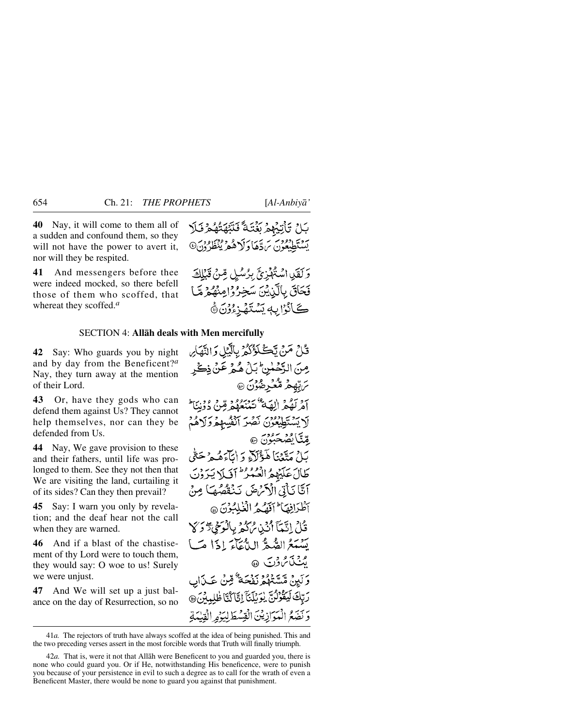**40** Nay, it will come to them all of a sudden and confound them, so they will not have the power to avert it, nor will they be respited.

**41** And messengers before thee were indeed mocked, so there befell those of them who scoffed, that whereat they scoffed.*<sup>a</sup>*

#### SECTION 4: **Allåh deals with Men mercifully**

**42** Say: Who guards you by night and by day from the Beneficent?*<sup>a</sup>* Nay, they turn away at the mention of their Lord.

**43** Or, have they gods who can defend them against Us? They cannot help themselves, nor can they be defended from Us.

**44** Nay, We gave provision to these and their fathers, until life was prolonged to them. See they not then that We are visiting the land, curtailing it of its sides? Can they then prevail?

**45** Say: I warn you only by revelation; and the deaf hear not the call when they are warned.

**46** And if a blast of the chastisement of thy Lord were to touch them, they would say: O woe to us! Surely we were unjust.

**47** And We will set up a just balance on the day of Resurrection, so no بَاحْ تَأْتِيْهِمْ يَؤْتَيْهَ ۖ فَنَتَّهَتُّهُمْ وَلَلا يَسْتَطْبَعُونَ بِرَدَّهَا دَلَا هُمْ يُنْظَرُدْنَ

وَلَقَلِ اسْتُهْزِئَ بِرُسُلٍ مِّنْ قَبْلِكَ فَحَاقَ بِالَّذِيْنَ سَخِرُوْامِنْهُمْ مَّا كَانْزَابِهِ يَسْتَهْزِءُوْنَ ﴾

قُمْلُ مَنْ تَكَلّْؤُكُمْ بِالَّبْلِ وَالنَّهَاْسِ مِنَ الرَّحْمٰنِ ۚ بَلْ هُمْ عَنْ ذِكْرِ *؆*ؾؚۨۿ۪ڂۛؖۮڡ۠ڡ۠ڂڔڞؙۯڽ۞ آمْ لَهُمْ (لِقِيَةٌ تَبْهُدَهُمْ مِّنْ دَوْنِيَا ۖ لَا يَسْتَطِيعُوْنَ نَصْرَ ٱنْفُسِهِمْ وَلَاهُمْ قليگا گضخېودن ه بَلْ مَتَّعۡنَا هَٰٓؤُلَآءِ رَاٰبَآءَهُمۡ حَتَّىٰ طَالَ عَلَيْهِمُ الْعُمُورُ أَوَلَى لَهُ يَرَوْنَ آَيَّا نَأْتِي الْآَرَىٰ مَنْ نَنْقُصُهَا مِنْ آطُرَافِهَا لَهُ تَهْدُ الْغُلِبُوْنَ @ قُابُ إِنَّيْمَآ أَنْ يُرَاكِحُ بِالْوَحْجِ تَرْكَىٰ يَسْبَعُ الصُّعُّ الدُّعَآءَ إِذَا مَبَيْ مِنْنَامُ وَنَ ۞ وَ لَيِنْ مَّسَّتَعُدُّدُ نَفْجَةٌ ۚ قِينُ عَيْدَابِ رَبِّكَ لَيَقُرْنُنَّ بِوَبِلَنَّ إِنَّاكُنَّا ظُلِمِيْنَ 3 وَنَصَعُ الْمَوَازِيْنَ الْقِسْطَلِبَهُمِ الْقِيْمَةِ

<sup>41</sup>*a.* The rejectors of truth have always scoffed at the idea of being punished. This and the two preceding verses assert in the most forcible words that Truth will finally triumph.

<sup>42</sup>*a.* That is, were it not that Allåh were Beneficent to you and guarded you, there is none who could guard you. Or if He, notwithstanding His beneficence, were to punish you because of your persistence in evil to such a degree as to call for the wrath of even a Beneficent Master, there would be none to guard you against that punishment.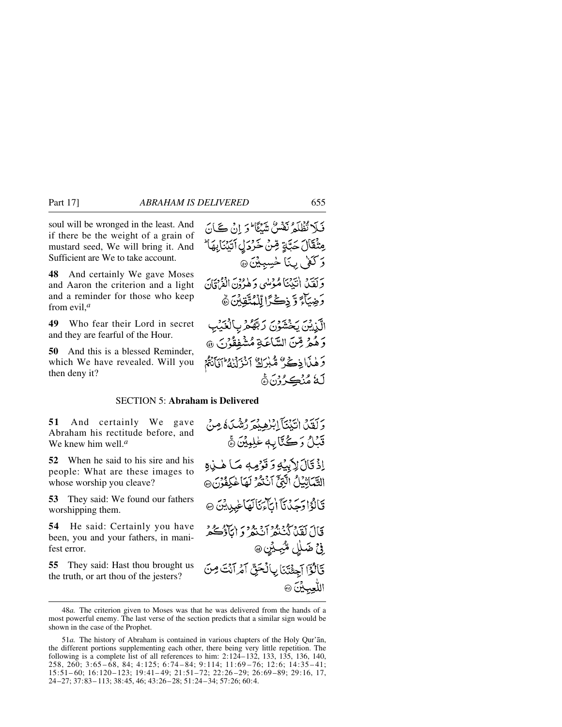soul will be wronged in the least. And if there be the weight of a grain of mustard seed, We will bring it. And Sufficient are We to take account.

**48** And certainly We gave Moses and Aaron the criterion and a light and a reminder for those who keep from evil,*<sup>a</sup>*

**49** Who fear their Lord in secret and they are fearful of the Hour.

**50** And this is a blessed Reminder, which We have revealed. Will you then deny it?

فَلَا تُظْلَمُ نَفْسٌ شَيْئًا وَ إِنْ كَانَ مِثْقَالَ حَبَّةٍ قِنْ خَرْدَلِ ٱتَيۡنَابِهَا ؕ وَكُفْلِ بِمَا لِحْسِبِيْنَ۞ وَلَقَيْدُ اٰتَّذِيَّا مُؤْلِّي وَهٰرُوْنَ الْقُرْقَانَ دَ جِيبَاءَ وَّ ذِكْرًا لَّلْمُتَّقِيْنَ ۞ الَّزِيْنَ يَخْشَوْنَ رَبَّهُمْ بِالْغَيْبِ وَهُمْ قِنَ السَّاعَةِ مُشْفِقُوْنَ ۞ وَهٰذَا ذِكْرٌ مُّنْذِرَكٌ أَنْزَلْنَاهُ إِيَّانَةً

**لَّهُ مُنْڪِ ُنَ** 

#### SECTION 5: **Abraham is Delivered**

**51** And certainly We gave Abraham his rectitude before, and We knew him well.*<sup>a</sup>*

**52** When he said to his sire and his people: What are these images to whose worship you cleave?

**53** They said: We found our fathers worshipping them.

**54** He said: Certainly you have been, you and your fathers, in manifest error.

**55** They said: Hast thou brought us the truth, or art thou of the jesters?

وَ كَفَدْنَ انْتَذْنَبَآ إِبْرٰهِ بِمْهَرَ رُشْدَىٰ وَصِنْ قَبْلُ وَكُنَّابِهِ عٰلِيِيْنَ ﴾ إِذْ قَالَ لِأَبِيَٰهِ وَقَوْمِهِ مَا هٰذِهِ التَّبَيَاتِيْلُ الَّذِيْحَ آيُّنُوْمِ لَهَا لِمَكْفُونَ ۞ قَالَوْا دَحَدْنَا أَيَاتَهَا لَهَا عَبِدِينَ ۞ قَالَ لَقَدْ كَنْنَشّْرُ أَنْبَعْهُ ۚ وَ إِيَّا ذَكَرْتُهُ ۚ فِي ضَلِلِ مُّبِيْنِ، قَالُوْٓا آَجِئْتَنَا بِالۡحَقِّ آَمُرِ آَنۡتَ مِنَ اللُّعِبِيْنَ @

<sup>48</sup>*a.* The criterion given to Moses was that he was delivered from the hands of a most powerful enemy. The last verse of the section predicts that a similar sign would be shown in the case of the Prophet.

<sup>51</sup>*a.* The history of Abraham is contained in various chapters of the Holy Qur'ån, the different portions supplementing each other, there being very little repetition. The following is a complete list of all references to him: 2:124–132, 133, 135, 136, 140, 258, 260; 3:65– 68, 84; 4:125; 6:74–84; 9:114; 11:69 –76; 12:6; 14:35–41; 15:51– 60; 16:120–123; 19:41– 49; 21:51–72; 22:26 –29; 26:69–89; 29:16, 17, 24–27; 37:83– 113; 38:45, 46; 43:26–28; 51:24–34; 57:26; 60:4.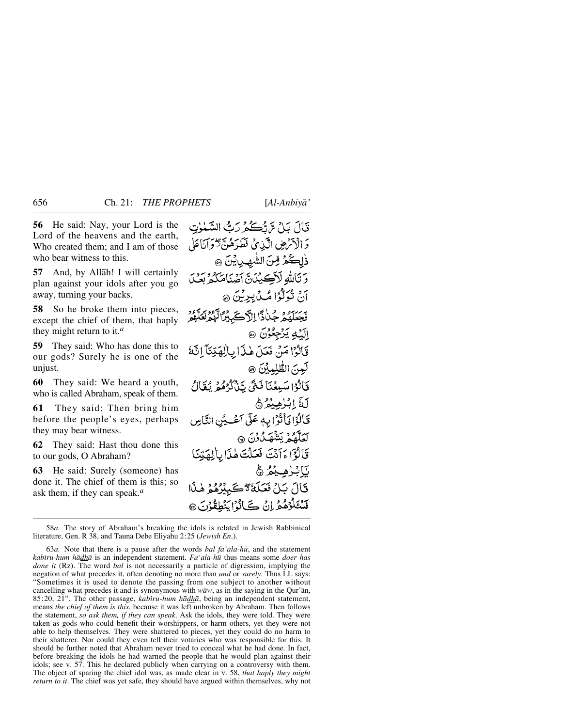**56** He said: Nay, your Lord is the Lord of the heavens and the earth, Who created them; and I am of those who bear witness to this.

**57** And, by Allåh! I will certainly plan against your idols after you go away, turning your backs.

**58** So he broke them into pieces, except the chief of them, that haply they might return to it.*<sup>a</sup>*

**59** They said: Who has done this to our gods? Surely he is one of the unjust.

**60** They said: We heard a youth, who is called Abraham, speak of them.

**61** They said: Then bring him before the people's eyes, perhaps they may bear witness.

**62** They said: Hast thou done this to our gods, O Abraham?

**63** He said: Surely (someone) has done it. The chief of them is this; so ask them, if they can speak.*<sup>a</sup>*

قَالَ يَارُ حَيْ تَكُمْ رَبُّ السَّمْوٰتِ دَ الْأَنْرَضِ الَّيْنِيِّ فَطَدَهُنَّ تَوَانَاعَلَى ذٰلِكُمْ مِّنَ الشَّهِينِيْنَ ۞ وَتَأَسَّهِ لَآكِينَ لَآصَنَامَكُمْ بِعَـٰ آنٌ تُوَلَّوُا مُكْ بِرِيْنَ ۞ فَجَعَلَهُمْ جُنْدًّا إِلَّا كَيْبِرًا تَّهْمُ لَعَلَّهُمْ الَّكِ يُرْجِعُونَ ۞ قَالُوْا مَنْ فَعَلَ هٰذَا بِالْهَيْنَآ إِنَّهُ لَعِنَ الطَّلِمِينَ ۞ فَالْوَاسَبِعْنَا فَتَى تَيْلَدُهُمْ يُقَالُ لَةَ اِبْزُهِيْهُ ﴾ قَالُوْا فَأَتْوَابِهٖ عَلَى آعَيُنِ النَّاسِ لَعَلَّهُمُ يَشْهَدُونَ @ قَالَوْٓاءَ أَنْتَ فَعَلْتَ هٰذَا بِالْكِهَتِكَ يَابْرُهِيْمُ ﴾ قَالَ بَلِّ فَعَلَّمَٰ ۚ تَكُسُّرُهُمْ هٰذَا قَسْتَلْرُهُمْرِ إِنْ كَانُوْا يَنْطِقُوْنَ @

63*a.* Note that there is a pause after the words *bal fa'ala-h∂*, and the statement *kabßru-hum hådhå* is an independent statement. *Fa'ala-h∂* thus means some *doer has done it* (Rz). The word *bal* is not necessarily a particle of digression, implying the negation of what precedes it, often denoting no more than *and* or *surely*. Thus LL says: "Sometimes it is used to denote the passing from one subject to another without cancelling what precedes it and is synonymous with  $w\bar{a}w$ , as in the saying in the Qur'an, 85:20, 21". The other passage, *kabiru-hum hādhā*, being an independent statement, means *the chief of them is this*, because it was left unbroken by Abraham. Then follows the statement, *so ask them, if they can speak*. Ask the idols, they were told. They were taken as gods who could benefit their worshippers, or harm others, yet they were not able to help themselves. They were shattered to pieces, yet they could do no harm to their shatterer. Nor could they even tell their votaries who was responsible for this. It should be further noted that Abraham never tried to conceal what he had done. In fact, before breaking the idols he had warned the people that he would plan against their idols; see v. 57. This he declared publicly when carrying on a controversy with them. The object of sparing the chief idol was, as made clear in v. 58, *that haply they might return to it*. The chief was yet safe, they should have argued within themselves, why not

<sup>58</sup>*a.* The story of Abraham's breaking the idols is related in Jewish Rabbinical literature, Gen. R 38, and Tauna Debe Eliyahu 2:25 (*Jewish En*.).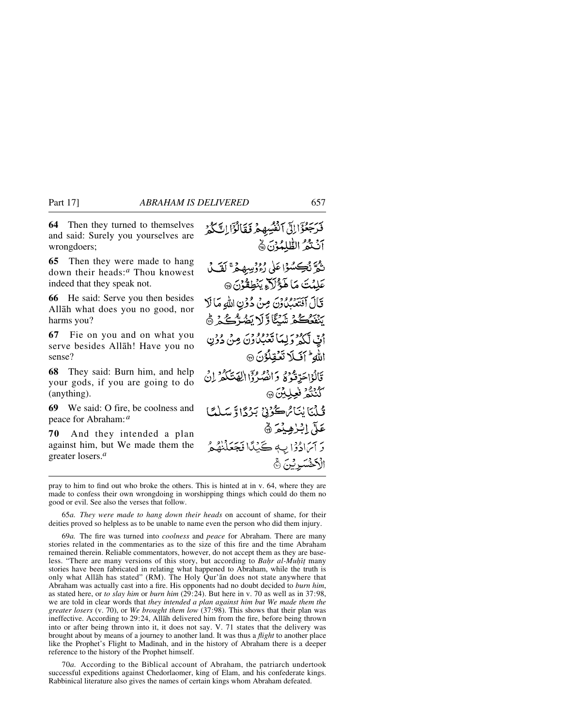**64** Then they turned to themselves and said: Surely you yourselves are wrongdoers;

**65** Then they were made to hang down their heads:*<sup>a</sup>* Thou knowest indeed that they speak not.

**66** He said: Serve you then besides Allåh what does you no good, nor harms you?

**67** Fie on you and on what you serve besides Allåh! Have you no sense?

**68** They said: Burn him, and help your gods, if you are going to do (anything).

**69** We said: O fire, be coolness and peace for Abraham:*<sup>a</sup>*

**70** And they intended a plan against him, but We made them the greater losers.*<sup>a</sup>*

فَرَجَعُوْالِلِّ الْفُسِهِمْ فَقَالُوْٓا لِتَّكُّوۡرَ أَنْتَغُمُّ الطَّلْمُوْنَ ۞ تَمَرَّ نُكِسُوْا عَلَى رُءُ وَسِيهِ هُ ۚ لَقَ لَ عَلِيْتَ مَا هَؤُلَاَءِ يَنۡطِقُوۡنَ ۞ قَالَ آفَتَعَبُّلُونَ مِنْ دُوْنِ اللَّهِ مَا لَا ينفعكم شكاؤلا يَضُرّْكُمْ ﴾ أَيِّ لَّكُمْ وَلِمَا تَعْبُلُونَ مِنْ دُوْنِ الله للكل تَعْقِلُونَ ۞ قَالُوْاحَدِّقُوْهُ وَانْصُرُوْا الْهَتَكُمُّ إِنَّ كَنْنْتُمْ فْعِلِيْنَ@ تُلْيَايْنَامُ كُرُنْ بَرْدًا وَسَلْمًا عَلَّ اِبْرٰهِيْمَ ۞ وَ آَمَادُوْا بِ جَيْنًا فَجَعَلْنَهُمُ الْأَخْسَوِيْنَ ۞

pray to him to find out who broke the others. This is hinted at in v. 64, where they are made to confess their own wrongdoing in worshipping things which could do them no good or evil. See also the verses that follow.

65*a. They were made to hang down their heads* on account of shame, for their deities proved so helpless as to be unable to name even the person who did them injury.

69*a.* The fire was turned into *coolness* and *peace* for Abraham. There are many stories related in the commentaries as to the size of this fire and the time Abraham remained therein. Reliable commentators, however, do not accept them as they are baseless. "There are many versions of this story, but according to *Bahr al-Muhit* many stories have been fabricated in relating what happened to Abraham, while the truth is only what Allåh has stated" (RM). The Holy Qur'ån does not state anywhere that Abraham was actually cast into a fire. His opponents had no doubt decided to *burn him*, as stated here, or *to slay him* or *burn him* (29:24). But here in v. 70 as well as in 37:98, we are told in clear words that *they intended a plan against him but We made them the greater losers* (v. 70), or *We brought them low* (37:98). This shows that their plan was ineffective. According to 29:24, Allåh delivered him from the fire, before being thrown into or after being thrown into it, it does not say. V. 71 states that the delivery was brought about by means of a journey to another land. It was thus a *flight* to another place like the Prophet's Flight to Madinah, and in the history of Abraham there is a deeper reference to the history of the Prophet himself.

70*a.* According to the Biblical account of Abraham, the patriarch undertook successful expeditions against Chedorlaomer, king of Elam, and his confederate kings. Rabbinical literature also gives the names of certain kings whom Abraham defeated.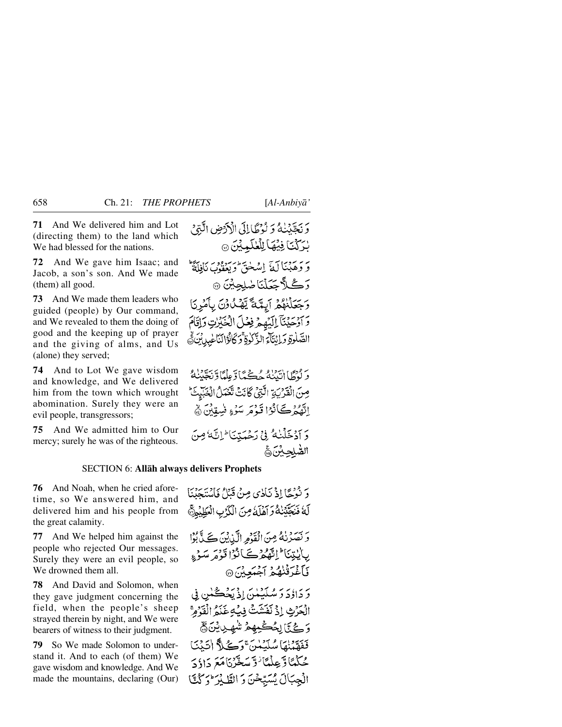**71** And We delivered him and Lot (directing them) to the land which We had blessed for the nations.

**72** And We gave him Isaac; and Jacob, a son's son. And We made (them) all good.

**73** And We made them leaders who guided (people) by Our command, and We revealed to them the doing of good and the keeping up of prayer and the giving of alms, and Us (alone) they served;

**74** And to Lot We gave wisdom and knowledge, and We delivered him from the town which wrought abomination. Surely they were an evil people, transgressors;

**75** And We admitted him to Our mercy; surely he was of the righteous.

وَنَجَّيْنُهُ وَلَوْطَالِلَى الْأَرْضِ الَّتِيْ بْرَكْتَا فِيْهَا لِلْعَلَيْدِيْنَ @ يَرْمَ مِنْ آلَةٌ إِسْهَٰمَ وَيَعْفُونَ نَافِلَةٌ ۖ<br>وَ وَهَبْنَا لَهُ إِسْهَٰقٌ وَيَعْفُونَ نَافِلَةٌ رَكْلَّاجَعَلْنَاضْلِجِيْنَ ۞ وَجَعَلْنَهُمْ آيِتَمَةً يَّهْدُاوْنَ بِأَمْرِنَا وَأَوْحَيْنَآَ إِلَيْهِمْ فِعْلَ الْجَبَرْتِ وَإِقَامَ الصَّلْوَةِ وَ إِنْتَآءَ الزَّكْوَةِ ۚ وَكَانُوْالنَّاعِيلِ بِّنَ ﴾

وَلَوْطًا انْتَيْنَاهُ حُكْمًا وَعِلْمًا وَتَجَيِّنَهُ صِنَ الْقَرْبَةِ الَّتِيْ كَانَتْ تَعْمَلُ الْغَبْيِتَ اِنَّهُمْ كَانُوْا قَوْمَ سَوْءٍ فَسِقِيْنَ ﴾ دَ أَدْخَلْنَكُ فِي دَجْهَتِيَا ۖ إِنَّهُ مِنَ الصلحبن

#### SECTION 6: **Allåh always delivers Prophets**

**76** And Noah, when he cried aforetime, so We answered him, and delivered him and his people from the great calamity.

**77** And We helped him against the people who rejected Our messages. Surely they were an evil people, so We drowned them all.

**78** And David and Solomon, when they gave judgment concerning the field, when the people's sheep strayed therein by night, and We were bearers of witness to their judgment.

**79** So We made Solomon to understand it. And to each (of them) We gave wisdom and knowledge. And We made the mountains, declaring (Our) دَ بِفَرْجًا!ذْ نَأْدُى مِنْ قَبْلُ فَأَيْتَهَدَّنَا لَّهُ فَنَجَّيْنُكُ وَآَهُلَّهُ مِنَ الْكَرْبِ الْعَظِيْمِيَّ وَ نَصَرُنْهُ مِنَ الْقَدْمِ الَّيْدِيْنَ كَے لَّى بُوْا بِايْتِنَا الثَّهْرُكَيَانُوْا قَوْمَرْ سَوْءِ كَأَغْدَقْنُهُمُ آجُمَعِيْنَ۞

رَ دَاؤُدَ رَ سُلَيْهِلْنَ إِذْ يَحْكُمْنِ فِي الْحَرْثِ إِذْ نَفَشَتْ فِيَٰهِ غَنَمُ الْقَرْمِ وَكِيَّا لِحُكْمِهِمْ شُهِدِيْنَ فَفَقَيْنَاهَا سُلَّنَهُنَّ وَكَيْلاً أَتَيْنَا جُكْمَاً وَّعِلْمَا ٰ وَّ مَدَّمَّنَا مَعَ دَادُ جَ الْجِبَالَ يُسَبِّحْنَ وَ الطَّلِّرَ وَكُنَّا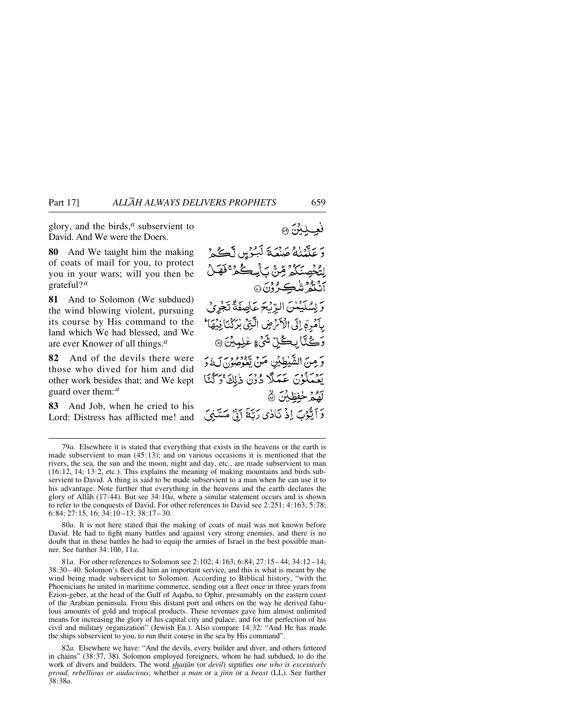glory, and the birds,*<sup>a</sup>* subservient to David. And We were the Doers.

**80** And We taught him the making of coats of mail for you, to protect you in your wars; will you then be grateful?*<sup>a</sup>*

**81** And to Solomon (We subdued) the wind blowing violent, pursuing its course by His command to the land which We had blessed, and We are ever Knower of all things.*<sup>a</sup>*

**82** And of the devils there were those who dived for him and did other work besides that; and We kept guard over them:*<sup>a</sup>*

**83** And Job, when he cried to his Lord: Distress has afflicted me! and

فعيليتن ۞ عَلَّمْنَهُ صَنْعَةَ لَبُوْسٍ لَكُمْ ڶۣؾ۠ڂٛڝٮؘؘػؙۮ<sup>ؚ</sup>ڔۨٙٞۻ۠؉۬ٙڛڴۮ<sup>ؿ</sup>؋ؘۿڵ م<sup>ع</sup>ديدة شڪرُونَ۞ وَ لِسُلَيْهُلْنَ الدِّيْجَ عَاْصِفَةً تَجْرِئ بِٱمۡرِمَٓ إِلَى الۡلَّٰٓ مِن الَّٰٓئِيِّ بِرَٰکۡنَآ فِیۡھَآٸَ **رَڪُٽَا بِڪُلِّ شَيْءِ غَلِيِبِيْنَ ۞** وَمِنَ الشَّيْطِيْنِ مَنْ يَخْرُصُوْنَ لَهُ وَ يَعْمَلُوْنَ عَمَلًا دُوْنَ ذٰلِكَ ۚ رَكْنَا لَّهُمْ خَفِظَيْنَ ۞ وَ ٱيُّوۡبَ اِذۡ نَادٰی رَبَّهَ ۚ إِنَّ مَسَّنِیَ

80*a.* It is not here stated that the making of coats of mail was not known before David. He had to fight many battles and against very strong enemies, and there is no doubt that in these battles he had to equip the armies of Israel in the best possible manner. See further 34:10*b*, 11*a*.

81*a.* For other references to Solomon see 2:102; 4:163; 6:84; 27:15– 44; 34:12 –14; 38:30– 40. Solomon's fleet did him an important service, and this is what is meant by the wind being made subservient to Solomon. According to Biblical history, "with the Phoenicians he united in maritime commerce, sending out a fleet once in three years from Ezion-geber, at the head of the Gulf of Aqaba, to Ophir, presumably on the eastern coast of the Arabian peninsula. From this distant port and others on the way he derived fabulous amounts of gold and tropical products. These revenues gave him almost unlimited means for increasing the glory of his capital city and palace, and for the perfection of his civil and military organization" (Jewish En.). Also compare 14:32: "And He has made the ships subservient to you, to run their course in the sea by His command".

82*a.* Elsewhere we have: "And the devils, every builder and diver, and others fettered in chains" (38:37, 38). Solomon employed foreigners, whom he had subdued, to do the work of divers and builders. The word **shaitan** (or devil) signifies one who is excessively *proud, rebellious or audacious*, whether *a man* or a *jinn* or a *beast* (LL). See further 38:38*a*.

<sup>79</sup>*a.* Elsewhere it is stated that everything that exists in the heavens or the earth is made subservient to man (45:13); and on various occasions it is mentioned that the rivers, the sea, the sun and the moon, night and day, etc., are made subservient to man (16:12, 14; 13:2, etc.). This explains the meaning of making mountains and birds subservient to David. A thing is said to be made subservient to a man when he can use it to his advantage. Note further that everything in the heavens and the earth declares the glory of Allåh (17:44). But see 34:10*a*, where a similar statement occurs and is shown to refer to the conquests of David. For other references to David see 2:251; 4:163; 5:78; 6:84; 27:15, 16:  $3\overline{4}$ : 10-13; 38:17-30.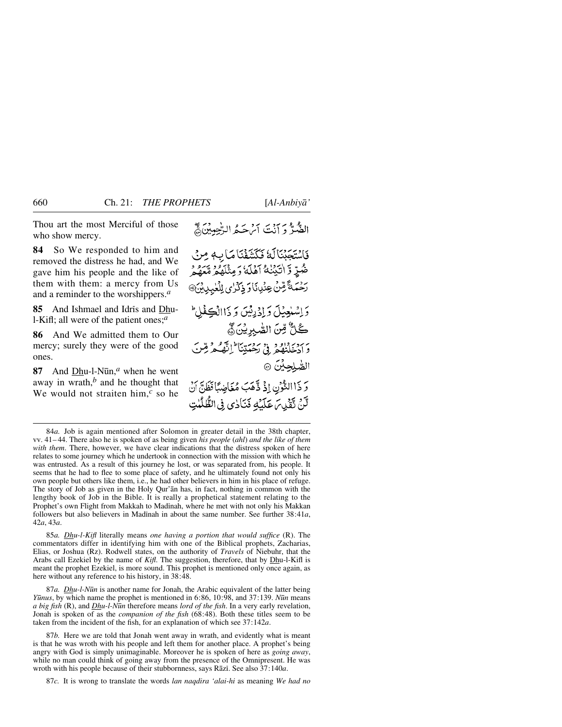Thou art the most Merciful of those who show mercy.

**84** So We responded to him and removed the distress he had, and We gave him his people and the like of them with them: a mercy from Us and a reminder to the worshippers.*<sup>a</sup>*

85 And Ishmael and Idris and Dhul-Kifl; all were of the patient ones;*<sup>a</sup>*

**86** And We admitted them to Our mercy; surely they were of the good ones.

**87** And Dhu-l-Nūn,<sup>*a*</sup> when he went away in wrath,*<sup>b</sup>* and he thought that We would not straiten him,*<sup>c</sup>* so he الضَّرّْ دَ إِنَّتَ أَيْرَ حَـدُ الرّْحِبِينَ﴾

فَاسْتَجَبْنَالَةُ فَكَشَفْنَا مَا لِهِ مِنْ ضُرٍّ وَّ اٰتَيۡنَٰكُمۡ آهَلَٰٓئُ وَمِثۡلَهُمۡ مَّعَهُمۡ ۚ *ڒڂ*ؘؠٮڠٞۺٙٚؿ؋ٮ۬ٛڕۥؘڹٲڔ؋ۣػڒؽڶۣڵڡ۬ۑۑڸؽۣ۞ وَ اِسْبُعِيْلَ وَإِذْ رِئِينَ وَ ذَاالْكِفْلُ كُلُّ مِّنَ الصَّبِرِيْنَ وُّ ر<br>وَادْخَلْنَهُمْ فِي ْرَحْمَتِنَا ۚ إِنَّهُ مِرْمِّنَ الصَّلِحِيْنَ ٢ وَ ذَاالثَّوْنِ إِذْ ذَّهَبَ مُغَاضِبًا فَظَنَّ أَنْ لَّنْ نَّقَيْلِ مَا عَلَيْهِ فَنَادِي فِي الظُّلُّلُتِ

85*a. Dhu-l-Kifl* literally means *one having a portion that would suffice* (R). The commentators differ in identifying him with one of the Biblical prophets, Zacharias, Elias, or Joshua (Rz). Rodwell states, on the authority of *Travels* of Niebuhr, that the Arabs call Ezekiel by the name of *Kifl*. The suggestion, therefore, that by Dhu-l-Kifl is meant the prophet Ezekiel, is more sound. This prophet is mentioned only once again, as here without any reference to his history, in  $38:48$ .

87*a. Dhu-l-N∂n* is another name for Jonah, the Arabic equivalent of the latter being *Yūnus*, by which name the prophet is mentioned in 6:86, 10:98, and 37:139. *Nūn* means *a big fish* (R), and *Dhu-l-N∂n* therefore means *lord of the fish*. In a very early revelation, Jonah is spoken of as the *companion of the fish* (68:48). Both these titles seem to be taken from the incident of the fish, for an explanation of which see 37:142*a*.

87*b.* Here we are told that Jonah went away in wrath, and evidently what is meant is that he was wroth with his people and left them for another place. A prophet's being angry with God is simply unimaginable. Moreover he is spoken of here as *going away*, while no man could think of going away from the presence of the Omnipresent. He was wroth with his people because of their stubbornness, says Rāzī. See also 37:140*a*.

87*c.* It is wrong to translate the words *lan naqdira 'alai-hi* as meaning *We had no*

<sup>84</sup>*a.* Job is again mentioned after Solomon in greater detail in the 38th chapter, vv. 41– 44. There also he is spoken of as being given *his people* (*ahl*) *and the like of them with them*. There, however, we have clear indications that the distress spoken of here relates to some journey which he undertook in connection with the mission with which he was entrusted. As a result of this journey he lost, or was separated from, his people. It seems that he had to flee to some place of safety, and he ultimately found not only his own people but others like them, i.e., he had other believers in him in his place of refuge. The story of Job as given in the Holy Qur'ån has, in fact, nothing in common with the lengthy book of Job in the Bible. It is really a prophetical statement relating to the Prophet's own Flight from Makkah to Madinah, where he met with not only his Makkan followers but also believers in Madinah in about the same number. See further 38:41*a*, 42*a*, 43*a*.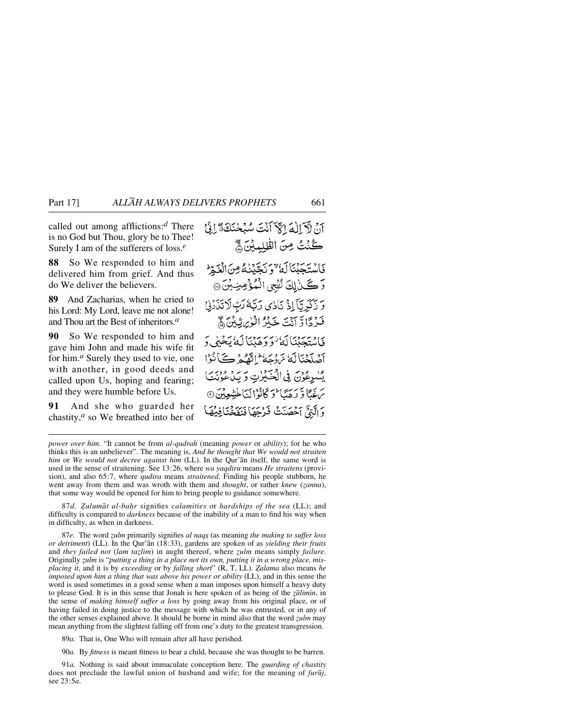called out among afflictions:*<sup>d</sup>* There is no God but Thou, glory be to Thee! Surely I am of the sufferers of loss.*<sup>e</sup>*

**88** So We responded to him and delivered him from grief. And thus do We deliver the believers.

**89** And Zacharias, when he cried to his Lord: My Lord, leave me not alone! and Thou art the Best of inheritors.*<sup>a</sup>*

**90** So We responded to him and gave him John and made his wife fit for him.*<sup>a</sup>* Surely they used to vie, one with another, in good deeds and called upon Us, hoping and fearing; and they were humble before Us.

**91** And she who guarded her chastity,*<sup>a</sup>* so We breathed into her of

آنَ لآرَالُهَ الْآلَانَ سَلَمْ حَنَكَ تَرَاتَىٰ كُنْتُ مِنَ الظَّلِمِيْنَ ﴾ فَأَسْتَجِبْنَاكَهُ لَا يَجْيَنْهُ مِنَ الْغَمِّ وَكَنَالِكَ نُفْجِى الْمُؤْمِنِيْنَ۞ دَ زَكَرِيّاً إِذْ نَاٰدِي رَبَّهُ رَبِّ لَاتَذَرْنِيّ فَرْدًا وَّ آَيْتَ خَيْرُ الْزِينِيْنَ ﴾ ۆلىتېتېناللا ئۆۋھېنالە يېخىلى ئ آصْلَحْنَاكَ مَرْدَحَهُ ۖ إِنَّهُمْ كَيَانُوْا يسْرِعُوْنَ فِي الْحَكِرْتِ وَ يَدْعُونَنَا مَ بِمَا وَّ رَهَبَا وَكَانُوْالَّنَا خَشِعِينَ @ وَالَّتِيِّ آَخْصَنَتْ فَرْجَهَا فَنَفَخْنَافِيُهَا

87d. Zulumāt al-bahr signifies *calamities* or *hardships of the sea* (LL); and difficulty is compared to *darkness* because of the inability of a man to find his way when in difficulty, as when in darkness.

87*e.* The word *zulm* primarily signifies *al naqs* (as meaning *the making to suffer loss or detriment*) (LL). In the Qur'ån (18:33), gardens are spoken of as *yielding their fruits* and *they failed not* (*lam tazlim*) in aught thereof, where *zulm* means simply *failure*. Originally *zulm* is "*putting a thing in a place not its own, putting it in a wrong place, misplacing it*, and it is by *exceeding* or by *falling short*" (R, T, LL). *Zalama* also means *he imposed upon him a thing that was above his power or ability* (LL), and in this sense the word is used sometimes in a good sense when a man imposes upon himself a heavy duty to please God. It is in this sense that Jonah is here spoken of as being of the *zalimin*, in the sense of *making himself suffer a loss* by going away from his original place, or of having failed in doing justice to the message with which he was entrusted, or in any of the other senses explained above. It should be borne in mind also that the word *zulm* may mean anything from the slightest falling off from one's duty to the greatest transgression.

89*a.* That is, One Who will remain after all have perished.

90*a.* By *fitness* is meant fitness to bear a child, because she was thought to be barren.

91*a.* Nothing is said about immaculate conception here. The *guarding of chastity* does not preclude the lawful union of husband and wife; for the meaning of *fur∂j*, see 23:5*a*.

*power over him*. "It cannot be from *al-qudrah* (meaning *power* or *ability*); for he who thinks this is an unbeliever". The meaning is, *And he thought that We would not straiten him* or *We would not decree against him* (LL). In the Qur'ån itself, the same word is used in the sense of straitening. See 13:26, where *wa yaqdiru* means *He straitens* (provision), and also 65:7, where *qudira* means *straitened*. Finding his people stubborn, he went away from them and was wroth with them and *thought*, or rather *knew* (*zanna*), that some way would be opened for him to bring people to guidance somewhere.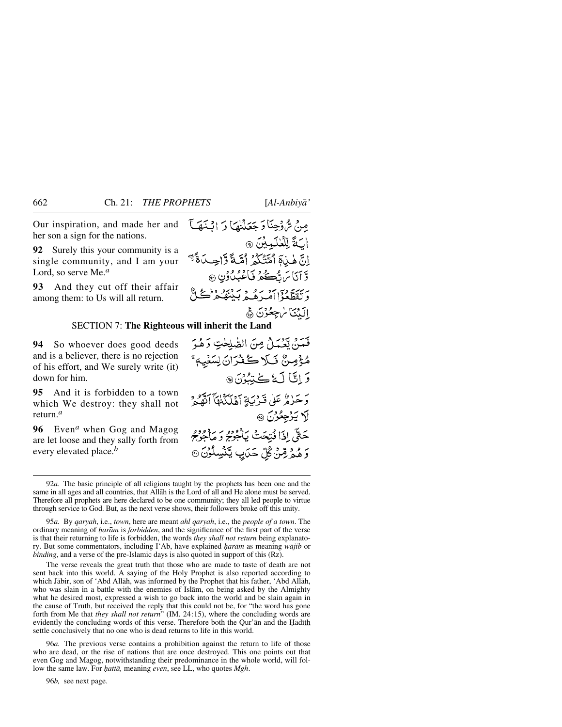Our inspiration, and made her and her son a sign for the nations.

**92** Surely this your community is a single community, and I am your Lord, so serve Me.*<sup>a</sup>*

**93** And they cut off their affair among them: to Us will all return.

# مِنْ شَّ دِّجِنَا دَ جَعَلْنِهَا دَ ابْنَهَا ابَةَ لِلْعُلَمِيْنَ ۞ إِنَّ هٰذِهَ أَمَّتْنَكُمُ أَمَّةً وَّإِحِدَاةً َّ وَّ أَنَاسَ تُڪُم**ُرُ نَ**أَعْبُدُونِ ۞ وَتَقَطَّعُوْٓا آمُيرَهُمْ دَيْنَهُمْ تَحْتَ إِلَيْنَا سُجِعُوْنَ ﴾

### SECTION 7: **The Righteous will inherit the Land**

**94** So whoever does good deeds and is a believer, there is no rejection of his effort, and We surely write (it) down for him.

**95** And it is forbidden to a town which We destroy: they shall not return.*<sup>a</sup>*

**96** Even*<sup>a</sup>* when Gog and Magog are let loose and they sally forth from every elevated place.*<sup>b</sup>*

فَعَدَ، تَعْبَدُ مِنَ الصّْلَحْتِ دَهُدَ مُؤْمِنٌ نَبَلا كُفْرَانَ لِسَّنْيِهِ ۚ وَإِنَّا لَهُ كَتِبُدُنَّ۞ وَحَرْمٌ عَلَى قَدْنَيَةِ آهُلَكُنْهَا ٱتَّهُدُهُ لا يَرْجِعُرْنَ ٢ حَتَّى إِذَا قُتِحَتْ يَأْجُرْمُ وَمَأْجُرْمُ وَ هُمْرِ مِّنْ كُلِّ حَدَبِ يَّنْسِلُوْنَ @

The verse reveals the great truth that those who are made to taste of death are not sent back into this world. A saying of the Holy Prophet is also reported according to which Jåbir, son of 'Abd Allåh, was informed by the Prophet that his father, 'Abd Allåh, who was slain in a battle with the enemies of Islåm, on being asked by the Almighty what he desired most, expressed a wish to go back into the world and be slain again in the cause of Truth, but received the reply that this could not be, for "the word has gone forth from Me that *they shall not return*" (IM. 24:15), where the concluding words are evidently the concluding words of this verse. Therefore both the Qur'an and the Hadith settle conclusively that no one who is dead returns to life in this world.

96*a.* The previous verse contains a prohibition against the return to life of those who are dead, or the rise of nations that are once destroyed. This one points out that even Gog and Magog, notwithstanding their predominance in the whole world, will follow the same law. For *hattā*, meaning *even*, see LL, who quotes *Mgh*.

96*b,* see next page.

<sup>92</sup>*a.* The basic principle of all religions taught by the prophets has been one and the same in all ages and all countries, that Allåh is the Lord of all and He alone must be served. Therefore all prophets are here declared to be one community; they all led people to virtue through service to God. But, as the next verse shows, their followers broke off this unity.

<sup>95</sup>*a.* By *qaryah*, i.e., *town*, here are meant *ahl qaryah*, i.e., the *people of a town*. The ordinary meaning of *√aråm* is *forbidden*, and the significance of the first part of the verse is that their returning to life is forbidden, the words *they shall not return* being explanatory. But some commentators, including I'Ab, have explained *√aråm* as meaning *wåjib* or *binding*, and a verse of the pre-Islamic days is also quoted in support of this (Rz).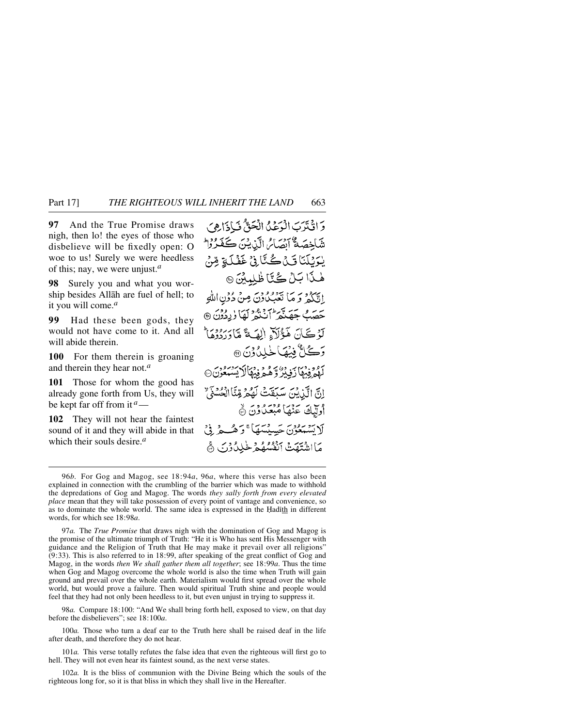**97** And the True Promise draws nigh, then lo! the eyes of those who disbelieve will be fixedly open: O woe to us! Surely we were heedless of this; nay, we were unjust.*<sup>a</sup>*

**98** Surely you and what you worship besides Allåh are fuel of hell; to it you will come.*<sup>a</sup>*

**99** Had these been gods, they would not have come to it. And all will abide therein.

**100** For them therein is groaning and therein they hear not.*<sup>a</sup>*

**101** Those for whom the good has already gone forth from Us, they will be kept far off from it *<sup>a</sup>*—

**102** They will not hear the faintest sound of it and they will abide in that which their souls desire.*<sup>a</sup>*

وَانْتَرَبَ الْرَعْدُ الْحَقَّ نَزَادَا هِيَ شَاخِصَةُ آبِصَائِرِ الَّذِيْنَ كَفَرُوْا يْدَيْنَنَا تَىْدَكْتَافْيْ غَفْلَةٍ مِّنْ هٰذَا بَـلْ كُتَّا ظُلِمَيْنَ ۞ إِيَّ لَهُمْ بَرَ مَا نَعْبُدُونَ مِنْ دُوْنِ اللَّهِ ئەس جەچمەتكە ئەنگەلگا ۈردۇن @ لَوْكَانَ هَؤُلَاءِ الصَةَ مَّادَرُوْدُمَا رَكَلٌّ فِيهَا خَلِدُوْنَ ۞ آوُمْ فِيهَا رَفِيْزُ وَهُمْ فِيهَا لَا يَسْبَعُوْنَ۞ إِنَّ الَّذِينَ سَبَقَتْ لَهُمْ مِّنَّا الْحُسْنَى وي تحقيقاً مُبْعَدًا وَنَ ۞ لَا تَشْتَعُوْنَ حَسَنْتَهَا ۚ وَ هُـُـجْ فِيَ مَااشْتَهَتْ ٱنْفُسُّهُمْ خَٰذِلٌ ذَنَّ

98*a.* Compare 18:100: "And We shall bring forth hell, exposed to view, on that day before the disbelievers"; see 18:100*a*.

100*a.* Those who turn a deaf ear to the Truth here shall be raised deaf in the life after death, and therefore they do not hear.

101*a.* This verse totally refutes the false idea that even the righteous will first go to hell. They will not even hear its faintest sound, as the next verse states.

102*a.* It is the bliss of communion with the Divine Being which the souls of the righteous long for, so it is that bliss in which they shall live in the Hereafter.

<sup>96</sup>*b.* For Gog and Magog, see 18:94*a*, 96*a*, where this verse has also been explained in connection with the crumbling of the barrier which was made to withhold the depredations of Gog and Magog. The words *they sally forth from every elevated place* mean that they will take possession of every point of vantage and convenience, so as to dominate the whole world. The same idea is expressed in the Hadith in different words, for which see 18:98*a*.

<sup>97</sup>*a.* The *True Promise* that draws nigh with the domination of Gog and Magog is the promise of the ultimate triumph of Truth: "He it is Who has sent His Messenger with guidance and the Religion of Truth that He may make it prevail over all religions" (9:33). This is also referred to in 18:99, after speaking of the great conflict of Gog and Magog, in the words *then We shall gather them all together*; see 18:99*a*. Thus the time when Gog and Magog overcome the whole world is also the time when Truth will gain ground and prevail over the whole earth. Materialism would first spread over the whole world, but would prove a failure. Then would spiritual Truth shine and people would feel that they had not only been heedless to it, but even unjust in trying to suppress it.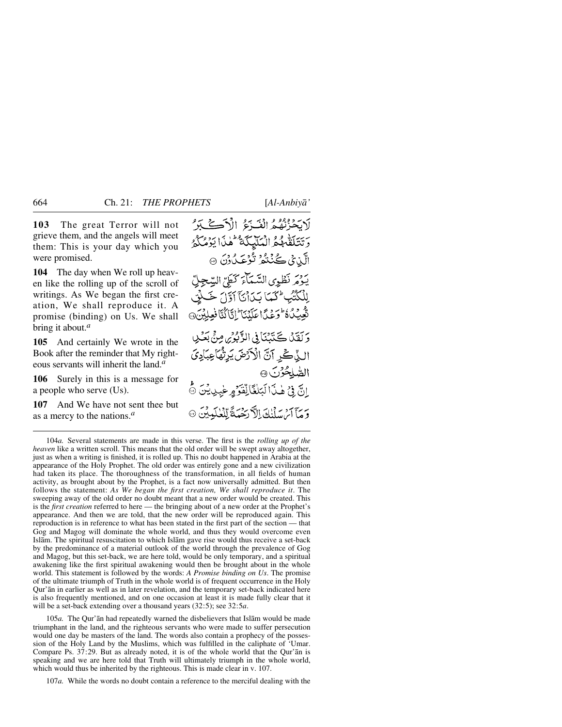**103** The great Terror will not grieve them, and the angels will meet them: This is your day which you were promised.

**104** The day when We roll up heaven like the rolling up of the scroll of writings. As We began the first creation, We shall reproduce it. A promise (binding) on Us. We shall bring it about.*<sup>a</sup>*

**105** And certainly We wrote in the Book after the reminder that My righteous servants will inherit the land.*<sup>a</sup>*

**106** Surely in this is a message for a people who serve (Us).

**107** And We have not sent thee but as a mercy to the nations.*<sup>a</sup>*

بَحْزُنُهُمُ الْغَيْرَةُ الْآَكَ بَدَّ رِيَتَلَقَّهُمُّ الْمَلْيَكَةُ كَلْمَا يَؤْمُكُمُّ الَّذِي ڪُنُنگُرُ تُوۡعَـٰدُوۡنَ ۞ روير نظوى السَّمَاءَ كَطِيِّ السِّجِلِّ لِلْكُتُبُ لَكُمَا يَكَأْنَآ آوَّلَ خَبَلْنِ نَّعِيَدُةَ وَعَدًا عَلَيْنَا 'إِنَّا َيُّا فَعِلِيْنَ@ دَ كَفَدْنَا ڪَنَدْنِيَا فِي الدِّنْدِيْرِينِ مِنْ بِعَسْدِيلِ الذِّكِّرِ آنَّ الْأَرْضَ يَرِنُّهَاْعِبَادِيَ الصُّلِحُرْنَ @ إِنَّ فِي هٰذَا لَبَلْغَالِّقَوَّ وِغِيدِيْنَ ﴾ وبرآ ابن إناه الأدبية والملهان @

104*a.* Several statements are made in this verse. The first is the *rolling up of the heaven* like a written scroll. This means that the old order will be swept away altogether, just as when a writing is finished, it is rolled up. This no doubt happened in Arabia at the appearance of the Holy Prophet. The old order was entirely gone and a new civilization had taken its place. The thoroughness of the transformation, in all fields of human activity, as brought about by the Prophet, is a fact now universally admitted. But then follows the statement: *As We began the first creation, We shall reproduce it*. The sweeping away of the old order no doubt meant that a new order would be created. This is the *first creation* referred to here — the bringing about of a new order at the Prophet's appearance. And then we are told, that the new order will be reproduced again. This reproduction is in reference to what has been stated in the first part of the section — that Gog and Magog will dominate the whole world, and thus they would overcome even Islåm. The spiritual resuscitation to which Islåm gave rise would thus receive a set-back by the predominance of a material outlook of the world through the prevalence of Gog and Magog, but this set-back, we are here told, would be only temporary, and a spiritual awakening like the first spiritual awakening would then be brought about in the whole world. This statement is followed by the words: *A Promise binding on Us*. The promise of the ultimate triumph of Truth in the whole world is of frequent occurrence in the Holy Qur'ån in earlier as well as in later revelation, and the temporary set-back indicated here is also frequently mentioned, and on one occasion at least it is made fully clear that it will be a set-back extending over a thousand years (32:5); see 32:5*a*.

105*a.* The Qur'ån had repeatedly warned the disbelievers that Islåm would be made triumphant in the land, and the righteous servants who were made to suffer persecution would one day be masters of the land. The words also contain a prophecy of the possession of the Holy Land by the Muslims, which was fulfilled in the caliphate of 'Umar. Compare Ps. 37:29. But as already noted, it is of the whole world that the Qur'ån is speaking and we are here told that Truth will ultimately triumph in the whole world, which would thus be inherited by the righteous. This is made clear in v. 107.

107*a.* While the words no doubt contain a reference to the merciful dealing with the